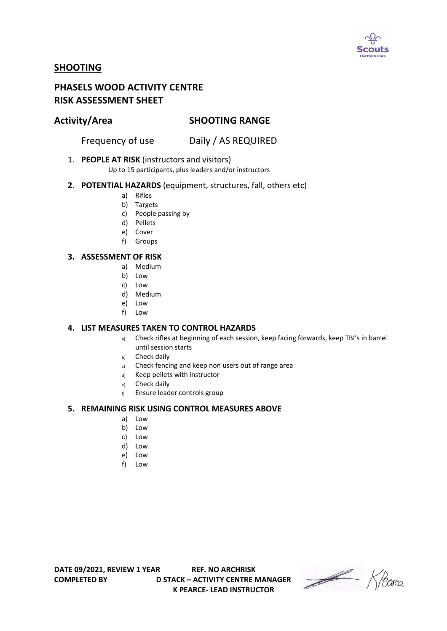

# **SHOOTING**

# **PHASELS WOOD ACTIVITY CENTRE RISK ASSESSMENT SHEET**

# **Activity/Area SHOOTING RANGE**

Frequency of use Daily / AS REQUIRED

1. **PEOPLE AT RISK** (instructors and visitors)

Up to 15 participants, plus leaders and/or instructors

- **2. POTENTIAL HAZARDS** (equipment, structures, fall, others etc)
	- a) Rifles
	- b) Targets
	- c) People passing by
	- d) Pellets
	- e) Cover
	- f) Groups

## **3. ASSESSMENT OF RISK**

- a) Medium
- b) Low
- c) Low
- d) Medium
- e) Low
- f) Low

### **4. LIST MEASURES TAKEN TO CONTROL HAZARDS**

- a) Check rifles at beginning of each session, keep facing forwards, keep TBI's in barrel until session starts
- b) Check daily
- c) Check fencing and keep non users out of range area
- d) Keep pellets with instructor
- e) Check daily
- f) Ensure leader controls group

### **5. REMAINING RISK USING CONTROL MEASURES ABOVE**

- a) Low
- b) Low
- c) Low
- d) Low
- e) Low
- f) Low

**DATE 09/2021, REVIEW 1 YEAR REF. NO ARCHRISK COMPLETED BY D STACK – ACTIVITY CENTRE MANAGER K PEARCE- LEAD INSTRUCTOR**

Heare